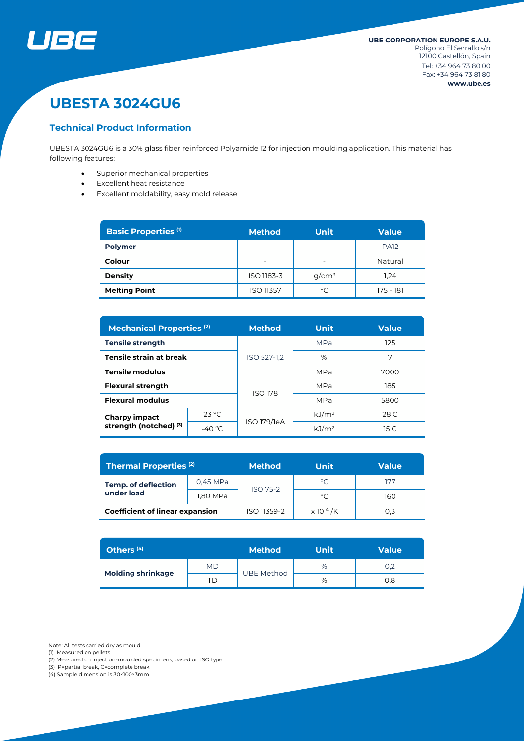

# **UBESTA 3024GU6**

#### **Technical Product Information**

UBESTA 3024GU6 is a 30% glass fiber reinforced Polyamide 12 for injection moulding application. This material has following features:

- Superior mechanical properties
- Excellent heat resistance
- Excellent moldability, easy mold release

| <b>Basic Properties (1)</b> | <b>Method</b>                                        | <b>Unit</b> | <b>Value</b> |  |
|-----------------------------|------------------------------------------------------|-------------|--------------|--|
| <b>Polymer</b>              | $\overline{\phantom{0}}$<br>$\overline{\phantom{0}}$ |             | <b>PA12</b>  |  |
| Colour                      |                                                      |             | Natural      |  |
| <b>Density</b>              | $q/cm^3$<br>ISO 1183-3                               |             | 1.24         |  |
| <b>Melting Point</b>        | <b>ISO 11357</b>                                     | °C          | 175 - 181    |  |

| <b>Mechanical Properties (2)</b>               |                  | <b>Method</b>  | <b>Unit</b>       | <b>Value</b> |  |
|------------------------------------------------|------------------|----------------|-------------------|--------------|--|
| <b>Tensile strength</b>                        |                  | ISO 527-1.2    | <b>MPa</b>        | 125          |  |
| Tensile strain at break                        |                  |                | %                 | 7            |  |
| <b>Tensile modulus</b>                         |                  |                | <b>MPa</b>        | 7000         |  |
| <b>Flexural strength</b>                       |                  |                | MPa               | 185          |  |
| <b>Flexural modulus</b>                        |                  | <b>ISO 178</b> | MPa               | 5800         |  |
| <b>Charpy impact</b><br>strength (notched) (3) | $23^{\circ}$ C   | ISO 179/1eA    | kJ/m <sup>2</sup> | 28 C         |  |
|                                                | -40 $^{\circ}$ C |                | kJ/m <sup>2</sup> | 15 C         |  |

| <b>Thermal Properties (2)</b>            |          | <b>Method</b>   | Unit                         | <b>Value</b> |  |
|------------------------------------------|----------|-----------------|------------------------------|--------------|--|
| <b>Temp. of deflection</b><br>under load | 0,45 MPa | <b>ISO 75-2</b> | °C                           | ללו          |  |
|                                          | 1,80 MPa |                 | °C                           | 160          |  |
| <b>Coefficient of linear expansion</b>   |          | ISO 11359-2     | $\times$ 10 <sup>-4</sup> /K | 0.3          |  |

| Others <sup>(4)</sup>    |           | <b>Method</b>     | Unit | <b>Value</b> |
|--------------------------|-----------|-------------------|------|--------------|
| <b>Molding shrinkage</b> | <b>MD</b> |                   | %    | 0,2          |
|                          | TD        | <b>UBE Method</b> | %    | 0,8          |

Note: All tests carried dry as mould

- (1) Measured on pellets
- (2) Measured on injection-moulded specimens, based on ISO type

(3) P=partial break, C=complete break

(4) Sample dimension is 30×100×3mm